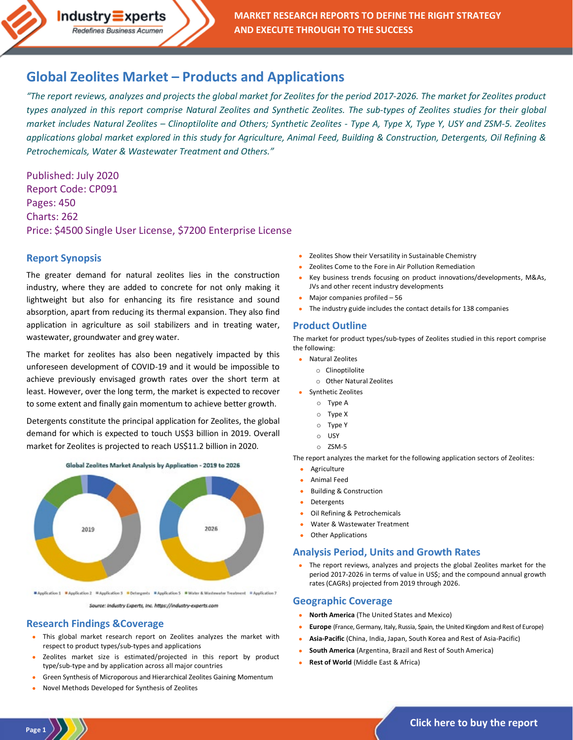

# **Global Zeolites Market – [Products and Applications](https://industry-experts.com/verticals/chemicals-and-materials/zeolites-clinoptilolite-research)**

*"The report reviews, analyzes and projects the global market for Zeolites for the period 2017-2026. The market for Zeolites product types analyzed in this report comprise Natural Zeolites and Synthetic Zeolites. The sub-types of Zeolites studies for their global market includes Natural Zeolites – Clinoptilolite and Others; Synthetic Zeolites - Type A, Type X, Type Y, USY and ZSM-5. Zeolites applications global market explored in this study for Agriculture, Animal Feed, Building & Construction, Detergents, Oil Refining & Petrochemicals, Water & Wastewater Treatment and Others."*

Published: July 2020 Report Code: CP091 Pages: 450 Charts: 262 Price: \$4500 Single User License, \$7200 Enterprise License

#### **Report Synopsis**

The greater demand for natural zeolites lies in the construction industry, where they are added to concrete for not only making it lightweight but also for enhancing its fire resistance and sound absorption, apart from reducing its thermal expansion. They also find application in agriculture as soil stabilizers and in treating water, wastewater, groundwater and grey water.

The market for zeolites has also been negatively impacted by this unforeseen development of COVID-19 and it would be impossible to achieve previously envisaged growth rates over the short term at least. However, over the long term, the market is expected to recover to some extent and finally gain momentum to achieve better growth.

Detergents constitute the principal application for Zeolites, the global demand for which is expected to touch US\$3 billion in 2019. Overall market for Zeolites is projected to reach US\$11.2 billion in 2020.



RApplication 1 Rapplication 2 Rapplication 3 RDetergents RApplication 5 RWater & Wastewater Treatment RApplication 7

Source: Industry Experts, Inc. https://industry-experts.com

### **Research Findings &Coverage**

- This global market research report on Zeolites analyzes the market with respect to product types/sub-types and applications
- Zeolites market size is estimated/projected in this report by product type/sub-type and by application across all major countries
- Green Synthesis of Microporous and Hierarchical Zeolites Gaining Momentum
- Novel Methods Developed for Synthesis of Zeolites
- Zeolites Show their Versatility in Sustainable Chemistry
- Zeolites Come to the Fore in Air Pollution Remediation
- Key business trends focusing on product innovations/developments, M&As, JVs and other recent industry developments
- Major companies profiled 56
- The industry guide includes the contact details for 138 companies

#### **Product Outline**

The market for product types/sub-types of Zeolites studied in this report comprise the following:

- Natural Zeolites
	- o Clinoptilolite
	- o Other Natural Zeolites
- Synthetic Zeolites
	- o Type A
	- o Type X
	- o Type Y
	- o USY
	- o ZSM-5

The report analyzes the market for the following application sectors of Zeolites:

- Agriculture
- Animal Feed
- Building & Construction
- **Detergents**
- Oil Refining & Petrochemicals
- Water & Wastewater Treatment
- **Other Applications**

#### **Analysis Period, Units and Growth Rates**

• The report reviews, analyzes and projects the global Zeolites market for the period 2017-2026 in terms of value in US\$; and the compound annual growth rates (CAGRs) projected from 2019 through 2026.

#### **Geographic Coverage**

- **North America** (The United States and Mexico)
- **Europe** (France, Germany, Italy, Russia, Spain, the United Kingdom and Rest of Europe)
- **Asia-Pacific** (China, India, Japan, South Korea and Rest of Asia-Pacific)
- **South America** (Argentina, Brazil and Rest of South America)
- **Rest of World** (Middle East & Africa)

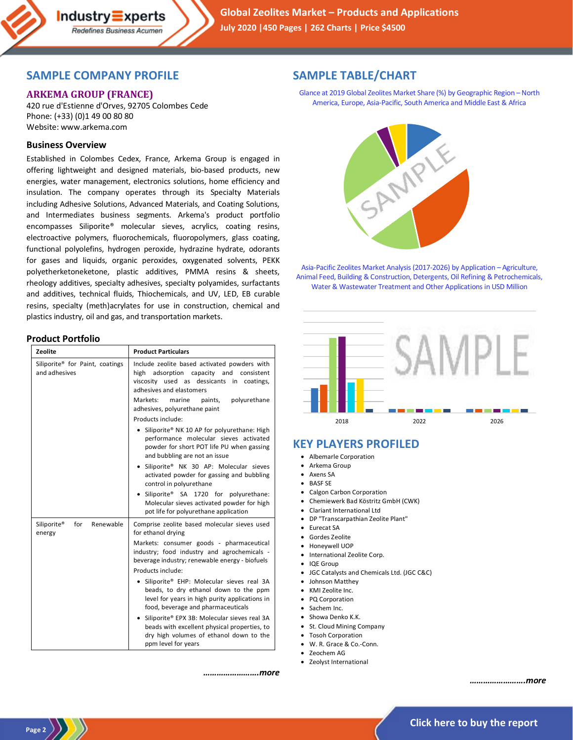## **SAMPLE COMPANY PROFILE**

 $Industry\equiv xperts$ Redefines Business Acumen

## **ARKEMA GROUP (FRANCE)**

420 rue d'Estienne d'Orves, 92705 Colombes Cede Phone: (+33) (0)1 49 00 80 80 Website: www.arkema.com

### **Business Overview**

Established in Colombes Cedex, France, Arkema Group is engaged in offering lightweight and designed materials, bio-based products, new energies, water management, electronics solutions, home efficiency and insulation. The company operates through its Specialty Materials including Adhesive Solutions, Advanced Materials, and Coating Solutions, and Intermediates business segments. Arkema's product portfolio encompasses Siliporite® molecular sieves, acrylics, coating resins, electroactive polymers, fluorochemicals, fluoropolymers, glass coating, functional polyolefins, hydrogen peroxide, hydrazine hydrate, odorants for gases and liquids, organic peroxides, oxygenated solvents, PEKK polyetherketoneketone, plastic additives, PMMA resins & sheets, rheology additives, specialty adhesives, specialty polyamides, surfactants and additives, technical fluids, Thiochemicals, and UV, LED, EB curable resins, specialty (meth)acrylates for use in construction, chemical and plastics industry, oil and gas, and transportation markets.

#### **Product Portfolio**

| Zeolite                                                      | <b>Product Particulars</b>                                                                                                                                                              |
|--------------------------------------------------------------|-----------------------------------------------------------------------------------------------------------------------------------------------------------------------------------------|
| Siliporite <sup>®</sup> for Paint, coatings<br>and adhesives | Include zeolite based activated powders with<br>high adsorption capacity and consistent<br>viscosity used as dessicants in coatings,<br>adhesives and elastomers                        |
|                                                              | Markets:<br>marine<br>polyurethane<br>paints,<br>adhesives, polyurethane paint                                                                                                          |
|                                                              | Products include:                                                                                                                                                                       |
|                                                              | Siliporite® NK 10 AP for polyurethane: High<br>performance molecular sieves activated<br>powder for short POT life PU when gassing<br>and bubbling are not an issue                     |
|                                                              | Siliporite® NK 30 AP: Molecular sieves<br>$\bullet$<br>activated powder for gassing and bubbling<br>control in polyurethane                                                             |
|                                                              | Siliporite® SA 1720 for polyurethane:<br>$\bullet$<br>Molecular sieves activated powder for high<br>pot life for polyurethane application                                               |
| Renewable<br>Siliporite®<br>for<br>energy                    | Comprise zeolite based molecular sieves used<br>for ethanol drying                                                                                                                      |
|                                                              | Markets: consumer goods - pharmaceutical<br>industry; food industry and agrochemicals -<br>beverage industry; renewable energy - biofuels                                               |
|                                                              | Products include:                                                                                                                                                                       |
|                                                              | Siliporite® EHP: Molecular sieves real 3A<br>$\bullet$<br>beads, to dry ethanol down to the ppm<br>level for years in high purity applications in<br>food, beverage and pharmaceuticals |
|                                                              | Siliporite® EPX 3B: Molecular sieves real 3A<br>$\bullet$<br>beads with excellent physical properties, to<br>dry high volumes of ethanol down to the<br>ppm level for years             |

### **SAMPLE TABLE/CHART**

Glance at 2019 Global Zeolites Market Share (%) by Geographic Region –North America, Europe, Asia-Pacific, South America and Middle East & Africa



Asia-Pacific Zeolites Market Analysis (2017-2026) by Application – Agriculture, Animal Feed, Building & Construction, Detergents, Oil Refining & Petrochemicals, Water & Wastewater Treatment and Other Applications in USD Million



## **KEY PLAYERS PROFILED**

- Albemarle Corporation
- Arkema Group
- Axens SA
- **BASF SE**
- Calgon Carbon Corporation
- Chemiewerk Bad Köstritz GmbH (CWK)
- Clariant International Ltd
- DP "Transcarpathian Zeolite Plant"
- Eurecat SA
- Gordes Zeolite
- Honeywell UOP
- International Zeolite Corp.
- IQE Group
- JGC Catalysts and Chemicals Ltd. (JGC C&C)
- Johnson Matthey
- KMI Zeolite Inc.
- PQ Corporation
- Sachem Inc.
- Showa Denko K.K.
- St. Cloud Mining Company
- Tosoh Corporation
- W. R. Grace & Co.-Conn.
- Zeochem AG

*…………………….more*

• Zeolyst International

*…………………….more*

**Page 2**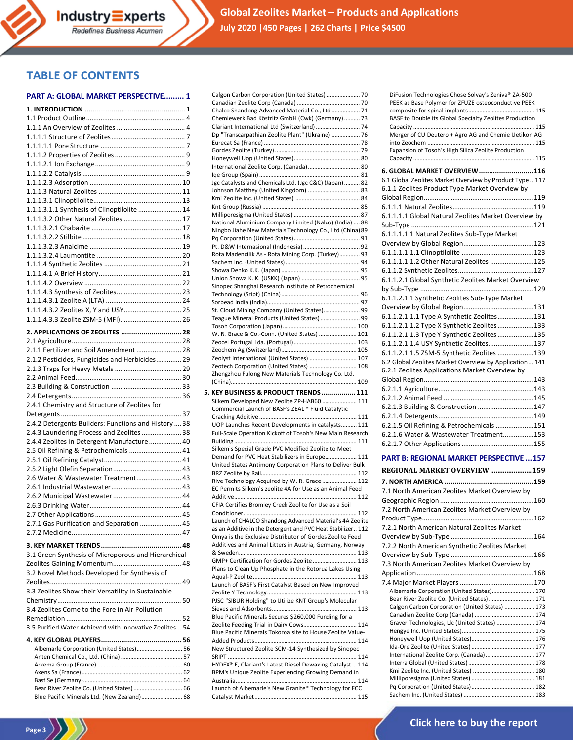## **TABLE OF CONTENTS**

#### **PART A: GLOBAL MARKET PERSPECTIVE......... 1**

| 1.1.1.3.1.1 Synthesis of Clinoptilolite  14                                               |  |
|-------------------------------------------------------------------------------------------|--|
| 1.1.1.3.2 Other Natural Zeolites  17                                                      |  |
|                                                                                           |  |
|                                                                                           |  |
|                                                                                           |  |
|                                                                                           |  |
|                                                                                           |  |
|                                                                                           |  |
|                                                                                           |  |
|                                                                                           |  |
|                                                                                           |  |
| 1.1.1.4.3.2 Zeolites X, Y and USY 25                                                      |  |
|                                                                                           |  |
| 2. APPLICATIONS OF ZEOLITES 28                                                            |  |
|                                                                                           |  |
| 2.1.1 Fertilizer and Soil Amendment  28                                                   |  |
| 2.1.2 Pesticides, Fungicides and Herbicides 29                                            |  |
|                                                                                           |  |
|                                                                                           |  |
|                                                                                           |  |
|                                                                                           |  |
|                                                                                           |  |
|                                                                                           |  |
| 2.4.1 Chemistry and Structure of Zeolites for                                             |  |
| 2.4.2 Detergents Builders: Functions and History  38                                      |  |
| 2.4.3 Laundering Process and Zeolites  38                                                 |  |
| 2.4.4 Zeolites in Detergent Manufacture  40                                               |  |
| 2.5 Oil Refining & Petrochemicals  41                                                     |  |
|                                                                                           |  |
|                                                                                           |  |
| 2.6 Water & Wastewater Treatment 43                                                       |  |
|                                                                                           |  |
|                                                                                           |  |
|                                                                                           |  |
|                                                                                           |  |
| 2.7.1 Gas Purification and Separation  45                                                 |  |
|                                                                                           |  |
|                                                                                           |  |
| 3.1 Green Synthesis of Microporous and Hierarchical                                       |  |
|                                                                                           |  |
| 3.2 Novel Methods Developed for Synthesis of                                              |  |
|                                                                                           |  |
| 3.3 Zeolites Show their Versatility in Sustainable                                        |  |
|                                                                                           |  |
| 3.4 Zeolites Come to the Fore in Air Pollution                                            |  |
|                                                                                           |  |
| 3.5 Purified Water Achieved with Innovative Zeolites  54                                  |  |
|                                                                                           |  |
| Albemarle Corporation (United States) 56                                                  |  |
|                                                                                           |  |
|                                                                                           |  |
|                                                                                           |  |
| Bear River Zeolite Co. (United States)  66<br>Blue Pacific Minerals Ltd. (New Zealand) 68 |  |

**Page 3**

| Calgon Carbon Corporation (United States)  70               |
|-------------------------------------------------------------|
|                                                             |
|                                                             |
| Chalco Shandong Advanced Material Co., Ltd 71               |
| Chemiewerk Bad Köstritz GmbH (Cwk) (Germany)  73            |
| Clariant International Ltd (Switzerland)  74                |
| Dp "Transcarpathian Zeolite Plant" (Ukraine)  76            |
|                                                             |
|                                                             |
|                                                             |
|                                                             |
|                                                             |
|                                                             |
| Jgc Catalysts and Chemicals Ltd. (Jgc C&C) (Japan) 82       |
|                                                             |
| Johnson Matthey (United Kingdom)  83                        |
|                                                             |
|                                                             |
|                                                             |
|                                                             |
| National Aluminium Company Limited (Nalco) (India)  88      |
| Ningbo Jiahe New Materials Technology Co., Ltd (China) 89   |
|                                                             |
|                                                             |
| Rota Madencilik As - Rota Mining Corp. (Turkey) 93          |
|                                                             |
|                                                             |
|                                                             |
|                                                             |
| Sinopec Shanghai Research Institute of Petrochemical        |
|                                                             |
|                                                             |
|                                                             |
| St. Cloud Mining Company (United States) 99                 |
| Teague Mineral Products (United States)  99                 |
|                                                             |
|                                                             |
| W. R. Grace & Co.-Conn. (United States)  101                |
|                                                             |
|                                                             |
| Zeolyst International (United States)  107                  |
|                                                             |
| Zeotech Corporation (United States)  108                    |
| Zhengzhou Fulong New Materials Technology Co. Ltd.          |
|                                                             |
|                                                             |
|                                                             |
| 5. KEY BUSINESS & PRODUCT TRENDS  111                       |
|                                                             |
| Silkem Developed New Zeolite ZP-HAB60  111                  |
| Commercial Launch of BASF's ZEAL™ Fluid Catalytic           |
|                                                             |
| UOP Launches Recent Developments in catalysts 111           |
| Full-Scale Operation Kickoff of Tosoh's New Main Research   |
|                                                             |
|                                                             |
| Silkem's Special Grade PVC Modified Zeolite to Meet         |
| Demand for PVC Heat Stabilizers in Europe 111               |
| United States Antimony Corporation Plans to Deliver Bulk    |
|                                                             |
|                                                             |
| Rive Technology Acquired by W. R. Grace  112                |
| EC Permits Silkem's zeolite 4A for Use as an Animal Feed    |
|                                                             |
| CFIA Certifies Bromley Creek Zeolite for Use as a Soil      |
|                                                             |
|                                                             |
| Launch of CHALCO Shandong Advanced Material's 4A Zeolite    |
| as an Additive in the Detergent and PVC Heat Stabilizer 112 |
| Omya is the Exclusive Distributor of Gordes Zeolite Feed    |
|                                                             |
| Additives and Animal Litters in Austria, Germany, Norway    |
|                                                             |
| GMP+ Certification for Gordes Zeolite  113                  |
| Plans to Clean Up Phosphate in the Rotorua Lakes Using      |
|                                                             |
|                                                             |
| Launch of BASF's First Catalyst Based on New Improved       |
|                                                             |
| PJSC "SIBUR Holding" to Utilize KNT Group's Molecular       |
|                                                             |
| Blue Pacific Minerals Secures \$260,000 Funding for a       |
|                                                             |
| Zeolite Feeding Trial in Dairy Cows 114                     |
| Blue Pacific Minerals Tokoroa site to House Zeolite Value-  |
|                                                             |
| New Structured Zeolite SCM-14 Synthesized by Sinopec        |
|                                                             |
|                                                             |
| HYDEX® E, Clariant's Latest Diesel Dewaxing Catalyst  114   |
| BPM's Unique Zeolite Experiencing Growing Demand in         |
|                                                             |
| Launch of Albemarle's New Granite® Technology for FCC       |
|                                                             |

| DiFusion Technologies Chose Solvay's Zeniva® ZA-500      |  |
|----------------------------------------------------------|--|
| PEEK as Base Polymer for ZFUZE osteoconductive PEEK      |  |
|                                                          |  |
| BASF to Double its Global Specialty Zeolites Production  |  |
|                                                          |  |
| Merger of CU Deutero + Agro AG and Chemie Uetikon AG     |  |
| Expansion of Tosoh's High Silica Zeolite Production      |  |
|                                                          |  |
|                                                          |  |
| 6. GLOBAL MARKET OVERVIEW116                             |  |
| 6.1 Global Zeolites Market Overview by Product Type  117 |  |
| 6.1.1 Zeolites Product Type Market Overview by           |  |
|                                                          |  |
|                                                          |  |
| 6.1.1.1.1 Global Natural Zeolites Market Overview by     |  |
|                                                          |  |
| 6.1.1.1.1.1 Natural Zeolites Sub-Type Market             |  |
|                                                          |  |
|                                                          |  |
| 6.1.1.1.1.1.2 Other Natural Zeolites  125                |  |
|                                                          |  |
| 6.1.1.2.1 Global Synthetic Zeolites Market Overview      |  |
|                                                          |  |
| 6.1.1.2.1.1 Synthetic Zeolites Sub-Type Market           |  |
|                                                          |  |
| 6.1.1.2.1.1.1 Type A Synthetic Zeolites 131              |  |
| 6.1.1.2.1.1.2 Type X Synthetic Zeolites 133              |  |
| 6.1.1.2.1.1.3 Type Y Synthetic Zeolites  135             |  |
| 6.1.1.2.1.1.4 USY Synthetic Zeolites 137                 |  |
| 6.1.1.2.1.1.5 ZSM-5 Synthetic Zeolites  139              |  |
| 6.2 Global Zeolites Market Overview by Application 141   |  |
| 6.2.1 Zeolites Applications Market Overview by           |  |
|                                                          |  |
|                                                          |  |
|                                                          |  |
| 6.2.1.3 Building & Construction 147                      |  |
|                                                          |  |
| 6.2.1.5 Oil Refining & Petrochemicals 151                |  |
| 6.2.1.6 Water & Wastewater Treatment153                  |  |
|                                                          |  |
|                                                          |  |

#### **PART B: REGIONAL MARKET PERSPECTIVE ...157**

| REGIONAL MARKET OVERVIEW 159                   |  |
|------------------------------------------------|--|
|                                                |  |
| 7.1 North American Zeolites Market Overview by |  |
|                                                |  |
| 7.2 North American Zeolites Market Overview by |  |
|                                                |  |
| 7.2.1 North American Natural Zeolites Market   |  |
|                                                |  |
| 7.2.2 North American Synthetic Zeolites Market |  |
|                                                |  |
| 7.3 North American Zeolites Market Overview by |  |
|                                                |  |
|                                                |  |
| Albemarle Corporation (United States) 170      |  |
| Bear River Zeolite Co. (United States)  171    |  |
| Calgon Carbon Corporation (United States)  173 |  |
|                                                |  |
| Graver Technologies, Llc (United States)  174  |  |
|                                                |  |
|                                                |  |
|                                                |  |
| International Zeolite Corp. (Canada) 177       |  |
|                                                |  |
|                                                |  |
|                                                |  |
|                                                |  |
|                                                |  |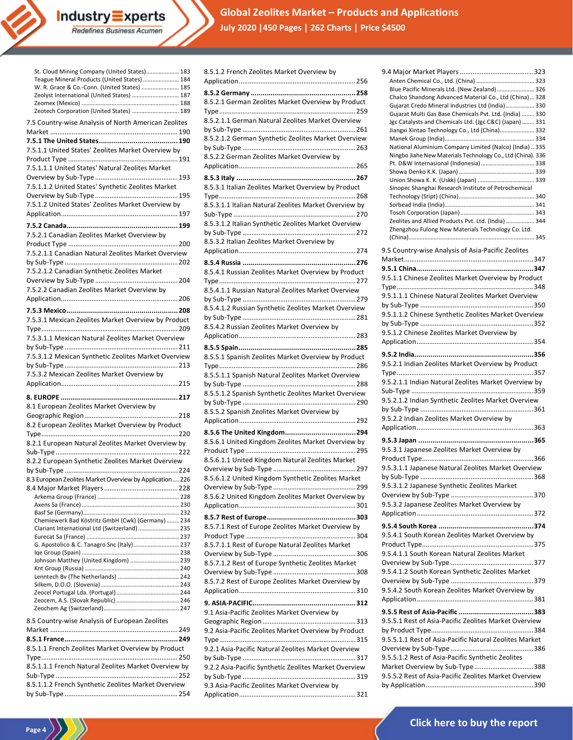**Global Zeolites Market – Products and Applications July 2020 |450 Pages | 262 Charts | Price \$4500**

| St. Cloud Mining Company (United States) 183                                                 |
|----------------------------------------------------------------------------------------------|
| Teague Mineral Products (United States)  184<br>W. R. Grace & Co.-Conn. (United States)  185 |
| Zeolyst International (United States)  187                                                   |
|                                                                                              |
| Zeotech Corporation (United States)  189                                                     |
| 7.5 Country-wise Analysis of North American Zeolites                                         |
|                                                                                              |
|                                                                                              |
| 7.5.1.1 United States' Zeolites Market Overview by                                           |
|                                                                                              |
| 7.5.1.1.1 United States' Natural Zeolites Market                                             |
|                                                                                              |
| 7.5.1.1.2 United States' Synthetic Zeolites Market                                           |
|                                                                                              |
| 7.5.1.2 United States' Zeolites Market Overview by                                           |
|                                                                                              |
|                                                                                              |
| 7.5.2.1 Canadian Zeolites Market Overview by                                                 |
|                                                                                              |
| 7.5.2.1.1 Canadian Natural Zeolites Market Overview                                          |
|                                                                                              |
| 7.5.2.1.2 Canadian Synthetic Zeolites Market                                                 |
|                                                                                              |
| 7.5.2.2 Canadian Zeolites Market Overview by                                                 |
|                                                                                              |
|                                                                                              |
| 7.5.3.1 Mexican Zeolites Market Overview by Product                                          |
|                                                                                              |
| 7.5.3.1.1 Mexican Natural Zeolites Market Overview                                           |
|                                                                                              |
| 7.5.3.1.2 Mexican Synthetic Zeolites Market Overview                                         |
|                                                                                              |
|                                                                                              |
|                                                                                              |
| 7.5.3.2 Mexican Zeolites Market Overview by                                                  |
|                                                                                              |
|                                                                                              |
| 8.1 European Zeolites Market Overview by                                                     |
|                                                                                              |
| 8.2 European Zeolites Market Overview by Product                                             |
|                                                                                              |
| 8.2.1 European Natural Zeolites Market Overview by                                           |
|                                                                                              |
| 8.2.2 European Synthetic Zeolites Market Overview                                            |
|                                                                                              |
| 8.3 European Zeolites Market Overview by Application  226                                    |
|                                                                                              |
|                                                                                              |
|                                                                                              |
| Chemiewerk Bad Köstritz GmbH (Cwk) (Germany)  234                                            |
| Clariant International Ltd (Switzerland)  235                                                |
|                                                                                              |
| G. Apostolico & C. Tanagro Snc (Italy) 237                                                   |
|                                                                                              |
| Johnson Matthey (United Kingdom)  239                                                        |
|                                                                                              |
|                                                                                              |
|                                                                                              |
|                                                                                              |
|                                                                                              |
| 8.5 Country-wise Analysis of European Zeolites                                               |
|                                                                                              |
|                                                                                              |
| 8.5.1.1 French Zeolites Market Overview by Product                                           |
|                                                                                              |
| 8.5.1.1.1 French Natural Zeolites Market Overview by                                         |
|                                                                                              |
| 8.5.1.1.2 French Synthetic Zeolites Market Overview                                          |

**Industry Experts**<br>Redefines Business Acumen

**Page 4**

| 8.5.1.2 French Zeolites Market Overview by                                                        |
|---------------------------------------------------------------------------------------------------|
| 8.5.2.1 German Zeolites Market Overview by Product                                                |
| 8.5.2.1.1 German Natural Zeolites Market Overview                                                 |
| 8.5.2.1.2 German Synthetic Zeolites Market Overview<br>8.5.2.2 German Zeolites Market Overview by |
|                                                                                                   |
| 8.5.3.1 Italian Zeolites Market Overview by Product                                               |
| 8.5.3.1.1 Italian Natural Zeolites Market Overview by                                             |
| 8.5.3.1.2 Italian Synthetic Zeolites Market Overview                                              |
| 8.5.3.2 Italian Zeolites Market Overview by                                                       |
|                                                                                                   |
| 8.5.4.1 Russian Zeolites Market Overview by Product                                               |
| 8.5.4.1.1 Russian Natural Zeolites Market Overview                                                |
| 8.5.4.1.2 Russian Synthetic Zeolites Market Overview                                              |
| 8.5.4.2 Russian Zeolites Market Overview by                                                       |
|                                                                                                   |
| 8.5.5.1 Spanish Zeolites Market Overview by Product                                               |
| 8.5.5.1.1 Spanish Natural Zeolites Market Overview                                                |
|                                                                                                   |
| 8.5.5.1.2 Spanish Synthetic Zeolites Market Overview                                              |
| 8.5.5.2 Spanish Zeolites Market Overview by                                                       |
|                                                                                                   |
| 8.5.6.1 United Kingdom Zeolites Market Overview by                                                |
|                                                                                                   |
| 8.5.6.1.1 United Kingdom Natural Zeolites Market                                                  |
| 8.5.6.1.2 United Kingdom Synthetic Zeolites Market                                                |
|                                                                                                   |
| 8.5.6.2 United Kingdom Zeolites Market Overview by                                                |
|                                                                                                   |
| 8.5.7.1 Rest of Europe Zeolites Market Overview by                                                |
| 8.5.7.1.1 Rest of Europe Natural Zeolites Market                                                  |
| 8.5.7.1.2 Rest of Europe Synthetic Zeolites Market                                                |
| 8.5.7.2 Rest of Europe Zeolites Market Overview by                                                |
|                                                                                                   |
| 9.1 Asia-Pacific Zeolites Market Overview by                                                      |
| 9.2 Asia-Pacific Zeolites Market Overview by Product                                              |
| 9.2.1 Asia-Pacific Natural Zeolites Market Overview                                               |
| 9.2.2 Asia-Pacific Synthetic Zeolites Market Overview                                             |
| 9.3 Asia-Pacific Zeolites Market Overview by                                                      |
|                                                                                                   |

| Blue Pacific Minerals Ltd. (New Zealand) 326                |
|-------------------------------------------------------------|
| Chalco Shandong Advanced Material Co., Ltd (China) 328      |
| Gujarat Credo Mineral Industries Ltd (India)  330           |
| Gujarat Multi Gas Base Chemicals Pvt. Ltd. (India)  330     |
| Jgc Catalysts and Chemicals Ltd. (Jgc C&C) (Japan)  331     |
| Jiangxi Xintao Technology Co., Ltd (China) 332              |
|                                                             |
| National Aluminium Company Limited (Nalco) (India) 335      |
| Ningbo Jiahe New Materials Technology Co., Ltd (China). 336 |
| Pt. D&W Internasional (Indonesia) 338                       |
|                                                             |
|                                                             |
| Sinopec Shanghai Research Institute of Petrochemical        |
|                                                             |
|                                                             |
|                                                             |
|                                                             |
| Zeolites and Allied Products Pvt. Ltd. (India)  344         |
| Zhengzhou Fulong New Materials Technology Co. Ltd.          |
|                                                             |
|                                                             |
| 9.5 Country-wise Analysis of Asia-Pacific Zeolites          |
|                                                             |
|                                                             |
| 9.5.1.1 Chinese Zeolites Market Overview by Product         |
|                                                             |
| 9.5.1.1.1 Chinese Natural Zeolites Market Overview          |
|                                                             |
|                                                             |
| 9.5.1.1.2 Chinese Synthetic Zeolites Market Overview        |
|                                                             |
| 9.5.1.2 Chinese Zeolites Market Overview by                 |
|                                                             |
|                                                             |
|                                                             |
| 9.5.2.1 Indian Zeolites Market Overview by Product          |
|                                                             |
| 9.5.2.1.1 Indian Natural Zeolites Market Overview by        |
|                                                             |
|                                                             |
|                                                             |
| 9.5.2.1.2 Indian Synthetic Zeolites Market Overview         |
|                                                             |
|                                                             |
| 9.5.2.2 Indian Zeolites Market Overview by                  |
|                                                             |
|                                                             |
|                                                             |
| 9.5.3.1 Japanese Zeolites Market Overview by                |
|                                                             |
| 9.5.3.1.1 Japanese Natural Zeolites Market Overview         |
|                                                             |
|                                                             |
| 9.5.3.1.2 Japanese Synthetic Zeolites Market                |
|                                                             |
| 9.5.3.2 Japanese Zeolites Market Overview by                |
|                                                             |
|                                                             |
|                                                             |
| 9.5.4.1 South Korean Zeolites Market Overview by            |
|                                                             |
| 9.5.4.1.1 South Korean Natural Zeolites Market              |
|                                                             |
|                                                             |
| 9.5.4.1.2 South Korean Synthetic Zeolites Market            |
|                                                             |
| 9.5.4.2 South Korean Zeolites Market Overview by            |
|                                                             |
|                                                             |
|                                                             |
| 9.5.5.1 Rest of Asia-Pacific Zeolites Market Overview       |
|                                                             |
| 9.5.5.1.1 Rest of Asia-Pacific Natural Zeolites Market      |
|                                                             |
|                                                             |
| 9.5.5.1.2 Rest of Asia-Pacific Synthetic Zeolites           |
| Market Overview by Sub-Type388                              |
| 9.5.5.2 Rest of Asia-Pacific Zeolites Market Overview       |